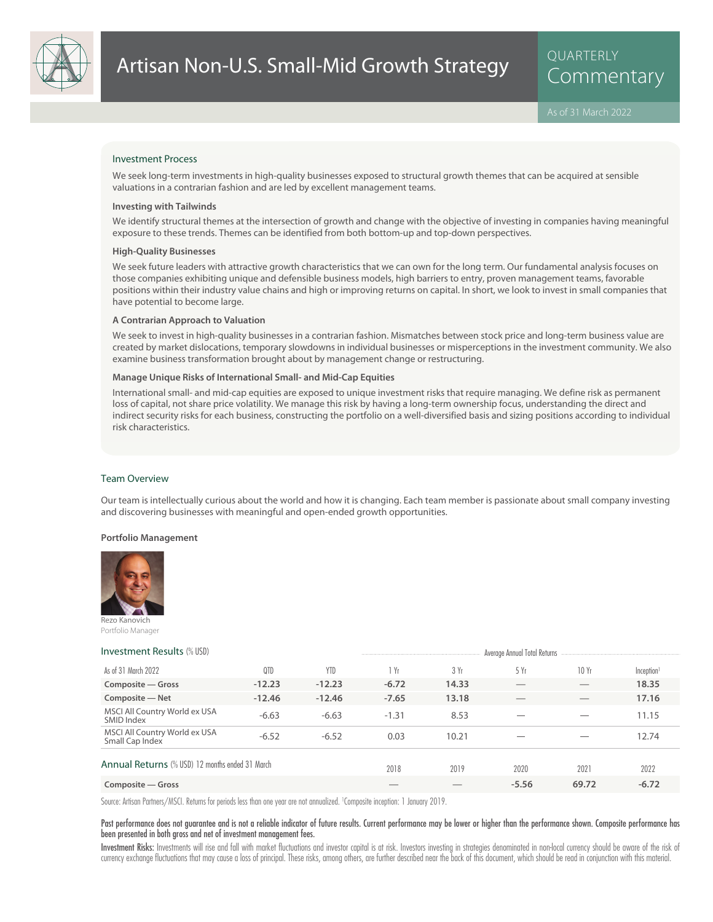

#### Investment Process

We seek long-term investments in high-quality businesses exposed to structural growth themes that can be acquired at sensible valuations in a contrarian fashion and are led by excellent management teams.

#### **Investing with Tailwinds**

We identify structural themes at the intersection of growth and change with the objective of investing in companies having meaningful exposure to these trends. Themes can be identified from both bottom-up and top-down perspectives.

#### **High-Quality Businesses**

We seek future leaders with attractive growth characteristics that we can own for the long term. Our fundamental analysis focuses on those companies exhibiting unique and defensible business models, high barriers to entry, proven management teams, favorable positions within their industry value chains and high or improving returns on capital. In short, we look to invest in small companies that have potential to become large.

#### **A Contrarian Approach to Valuation**

We seek to invest in high-quality businesses in a contrarian fashion. Mismatches between stock price and long-term business value are created by market dislocations, temporary slowdowns in individual businesses or misperceptions in the investment community. We also examine business transformation brought about by management change or restructuring.

#### **Manage Unique Risks of International Small- and Mid-Cap Equities**

International small- and mid-cap equities are exposed to unique investment risks that require managing. We define risk as permanent loss of capital, not share price volatility. We manage this risk by having a long-term ownership focus, understanding the direct and indirect security risks for each business, constructing the portfolio on a well-diversified basis and sizing positions according to individual risk characteristics.

#### Team Overview

Our team is intellectually curious about the world and how it is changing. Each team member is passionate about small company investing and discovering businesses with meaningful and open-ended growth opportunities.

#### **Portfolio Management**



Rezo Kanovich Portfolio Manager

#### **Investment Results** (% USD) Average Annual Total Returns (% USD)

|                                                  |          |            |         |       | www.agov.unioan.com.no.on.no |                          |                        |
|--------------------------------------------------|----------|------------|---------|-------|------------------------------|--------------------------|------------------------|
| As of 31 March 2022                              | 0TD      | <b>YTD</b> | 1 Yr    | 3Yr   | 5 Yr                         | 10Yr                     | Inception <sup>1</sup> |
| Composite – Gross                                | $-12.23$ | $-12.23$   | $-6.72$ | 14.33 |                              |                          | 18.35                  |
| Composite - Net                                  | $-12.46$ | $-12.46$   | $-7.65$ | 13.18 |                              |                          | 17.16                  |
| MSCI All Country World ex USA<br>SMID Index      | $-6.63$  | $-6.63$    | $-1.31$ | 8.53  | __                           | $\overline{\phantom{a}}$ | 11.15                  |
| MSCI All Country World ex USA<br>Small Cap Index | $-6.52$  | $-6.52$    | 0.03    | 10.21 |                              |                          | 12.74                  |
| Annual Returns (% USD) 12 months ended 31 March  |          |            | 2018    | 2019  | 2020                         | 2021                     | 2022                   |
| Composite – Gross                                |          |            |         |       | $-5.56$                      | 69.72                    | $-6.72$                |

Source: Artisan Partners/MSCI. Returns for periods less than one year are not annualized. <sup>1</sup> Composite inception: 1 January 2019.

#### Past performance does not guarantee and is not a reliable indicator of future results. Current performance may be lower or higher than the performance shown. Composite performance has been presented in both gross and net of investment management fees.

Investment Risks: Investments will rise and fall with market fluctuations and investor capital is at risk. Investors investing in strategies denominated in non-local currency should be aware of the risk of currency exchange fluctuations that may cause a loss of principal. These risks, among others, are further described near the back of this document, which should be read in conjunction with this material.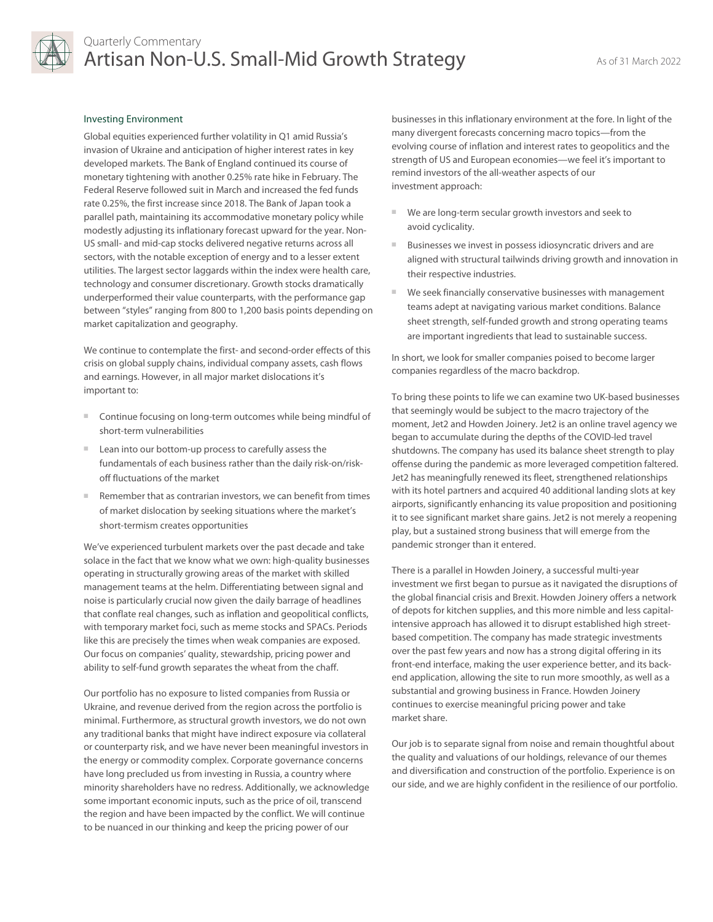

#### Investing Environment

Global equities experienced further volatility in Q1 amid Russia's invasion of Ukraine and anticipation of higher interest rates in key developed markets. The Bank of England continued its course of monetary tightening with another 0.25% rate hike in February. The Federal Reserve followed suit in March and increased the fed funds rate 0.25%, the first increase since 2018. The Bank of Japan took a parallel path, maintaining its accommodative monetary policy while modestly adjusting its inflationary forecast upward for the year. Non-US small- and mid-cap stocks delivered negative returns across all sectors, with the notable exception of energy and to a lesser extent utilities. The largest sector laggards within the index were health care, technology and consumer discretionary. Growth stocks dramatically underperformed their value counterparts, with the performance gap between "styles" ranging from 800 to 1,200 basis points depending on market capitalization and geography.

We continue to contemplate the first- and second-order effects of this crisis on global supply chains, individual company assets, cash flows and earnings. However, in all major market dislocations it's important to:

- Continue focusing on long-term outcomes while being mindful of short-term vulnerabilities
- Lean into our bottom-up process to carefully assess the fundamentals of each business rather than the daily risk-on/riskoff fluctuations of the market
- Remember that as contrarian investors, we can benefit from times of market dislocation by seeking situations where the market's short-termism creates opportunities

We've experienced turbulent markets over the past decade and take solace in the fact that we know what we own: high-quality businesses operating in structurally growing areas of the market with skilled management teams at the helm. Differentiating between signal and noise is particularly crucial now given the daily barrage of headlines that conflate real changes, such as inflation and geopolitical conflicts, with temporary market foci, such as meme stocks and SPACs. Periods like this are precisely the times when weak companies are exposed. Our focus on companies' quality, stewardship, pricing power and ability to self-fund growth separates the wheat from the chaff.

Our portfolio has no exposure to listed companies from Russia or Ukraine, and revenue derived from the region across the portfolio is minimal. Furthermore, as structural growth investors, we do not own any traditional banks that might have indirect exposure via collateral or counterparty risk, and we have never been meaningful investors in the energy or commodity complex. Corporate governance concerns have long precluded us from investing in Russia, a country where minority shareholders have no redress. Additionally, we acknowledge some important economic inputs, such as the price of oil, transcend the region and have been impacted by the conflict. We will continue to be nuanced in our thinking and keep the pricing power of our

businesses in this inflationary environment at the fore. In light of the many divergent forecasts concerning macro topics—from the evolving course of inflation and interest rates to geopolitics and the strength of US and European economies—we feel it's important to remind investors of the all-weather aspects of our investment approach:

- We are long-term secular growth investors and seek to avoid cyclicality.
- Businesses we invest in possess idiosyncratic drivers and are aligned with structural tailwinds driving growth and innovation in their respective industries.
- We seek financially conservative businesses with management teams adept at navigating various market conditions. Balance sheet strength, self-funded growth and strong operating teams are important ingredients that lead to sustainable success.

In short, we look for smaller companies poised to become larger companies regardless of the macro backdrop.

To bring these points to life we can examine two UK-based businesses that seemingly would be subject to the macro trajectory of the moment, Jet2 and Howden Joinery. Jet2 is an online travel agency we began to accumulate during the depths of the COVID-led travel shutdowns. The company has used its balance sheet strength to play offense during the pandemic as more leveraged competition faltered. Jet2 has meaningfully renewed its fleet, strengthened relationships with its hotel partners and acquired 40 additional landing slots at key airports, significantly enhancing its value proposition and positioning it to see significant market share gains. Jet2 is not merely a reopening play, but a sustained strong business that will emerge from the pandemic stronger than it entered.

There is a parallel in Howden Joinery, a successful multi-year investment we first began to pursue as it navigated the disruptions of the global financial crisis and Brexit. Howden Joinery offers a network of depots for kitchen supplies, and this more nimble and less capitalintensive approach has allowed it to disrupt established high streetbased competition. The company has made strategic investments over the past few years and now has a strong digital offering in its front-end interface, making the user experience better, and its backend application, allowing the site to run more smoothly, as well as a substantial and growing business in France. Howden Joinery continues to exercise meaningful pricing power and take market share.

Our job is to separate signal from noise and remain thoughtful about the quality and valuations of our holdings, relevance of our themes and diversification and construction of the portfolio. Experience is on our side, and we are highly confident in the resilience of our portfolio.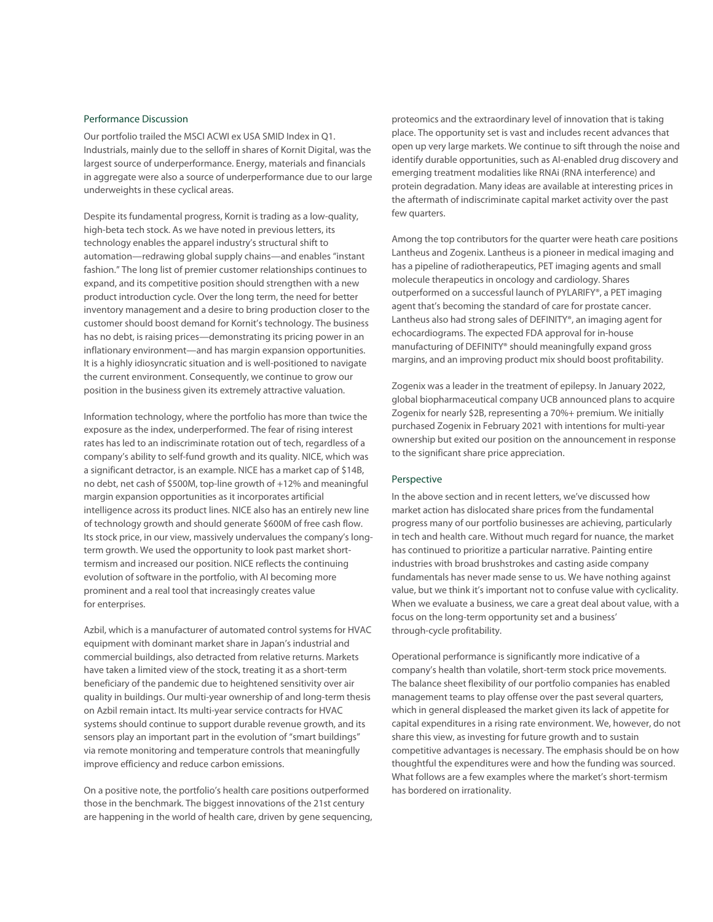#### Performance Discussion

Our portfolio trailed the MSCI ACWI ex USA SMID Index in Q1. Industrials, mainly due to the selloff in shares of Kornit Digital, was the largest source of underperformance. Energy, materials and financials in aggregate were also a source of underperformance due to our large underweights in these cyclical areas.

Despite its fundamental progress, Kornit is trading as a low-quality, high-beta tech stock. As we have noted in previous letters, its technology enables the apparel industry's structural shift to automation—redrawing global supply chains—and enables "instant fashion." The long list of premier customer relationships continues to expand, and its competitive position should strengthen with a new product introduction cycle. Over the long term, the need for better inventory management and a desire to bring production closer to the customer should boost demand for Kornit's technology. The business has no debt, is raising prices—demonstrating its pricing power in an inflationary environment—and has margin expansion opportunities. It is a highly idiosyncratic situation and is well-positioned to navigate the current environment. Consequently, we continue to grow our position in the business given its extremely attractive valuation.

Information technology, where the portfolio has more than twice the exposure as the index, underperformed. The fear of rising interest rates has led to an indiscriminate rotation out of tech, regardless of a company's ability to self-fund growth and its quality. NICE, which was a significant detractor, is an example. NICE has a market cap of \$14B, no debt, net cash of \$500M, top-line growth of +12% and meaningful margin expansion opportunities as it incorporates artificial intelligence across its product lines. NICE also has an entirely new line of technology growth and should generate \$600M of free cash flow. Its stock price, in our view, massively undervalues the company's longterm growth. We used the opportunity to look past market shorttermism and increased our position. NICE reflects the continuing evolution of software in the portfolio, with AI becoming more prominent and a real tool that increasingly creates value for enterprises.

Azbil, which is a manufacturer of automated control systems for HVAC equipment with dominant market share in Japan's industrial and commercial buildings, also detracted from relative returns. Markets have taken a limited view of the stock, treating it as a short-term beneficiary of the pandemic due to heightened sensitivity over air quality in buildings. Our multi-year ownership of and long-term thesis on Azbil remain intact. Its multi-year service contracts for HVAC systems should continue to support durable revenue growth, and its sensors play an important part in the evolution of "smart buildings" via remote monitoring and temperature controls that meaningfully improve efficiency and reduce carbon emissions.

On a positive note, the portfolio's health care positions outperformed those in the benchmark. The biggest innovations of the 21st century are happening in the world of health care, driven by gene sequencing, proteomics and the extraordinary level of innovation that is taking place. The opportunity set is vast and includes recent advances that open up very large markets. We continue to sift through the noise and identify durable opportunities, such as AI-enabled drug discovery and emerging treatment modalities like RNAi (RNA interference) and protein degradation. Many ideas are available at interesting prices in the aftermath of indiscriminate capital market activity over the past few quarters.

Among the top contributors for the quarter were heath care positions Lantheus and Zogenix. Lantheus is a pioneer in medical imaging and has a pipeline of radiotherapeutics, PET imaging agents and small molecule therapeutics in oncology and cardiology. Shares outperformed on a successful launch of PYLARIFY®, a PET imaging agent that's becoming the standard of care for prostate cancer. Lantheus also had strong sales of DEFINITY®, an imaging agent for echocardiograms. The expected FDA approval for in-house manufacturing of DEFINITY® should meaningfully expand gross margins, and an improving product mix should boost profitability.

Zogenix was a leader in the treatment of epilepsy. In January 2022, global biopharmaceutical company UCB announced plans to acquire Zogenix for nearly \$2B, representing a 70%+ premium. We initially purchased Zogenix in February 2021 with intentions for multi-year ownership but exited our position on the announcement in response to the significant share price appreciation.

#### Perspective

In the above section and in recent letters, we've discussed how market action has dislocated share prices from the fundamental progress many of our portfolio businesses are achieving, particularly in tech and health care. Without much regard for nuance, the market has continued to prioritize a particular narrative. Painting entire industries with broad brushstrokes and casting aside company fundamentals has never made sense to us. We have nothing against value, but we think it's important not to confuse value with cyclicality. When we evaluate a business, we care a great deal about value, with a focus on the long-term opportunity set and a business' through-cycle profitability.

Operational performance is significantly more indicative of a company's health than volatile, short-term stock price movements. The balance sheet flexibility of our portfolio companies has enabled management teams to play offense over the past several quarters, which in general displeased the market given its lack of appetite for capital expenditures in a rising rate environment. We, however, do not share this view, as investing for future growth and to sustain competitive advantages is necessary. The emphasis should be on how thoughtful the expenditures were and how the funding was sourced. What follows are a few examples where the market's short-termism has bordered on irrationality.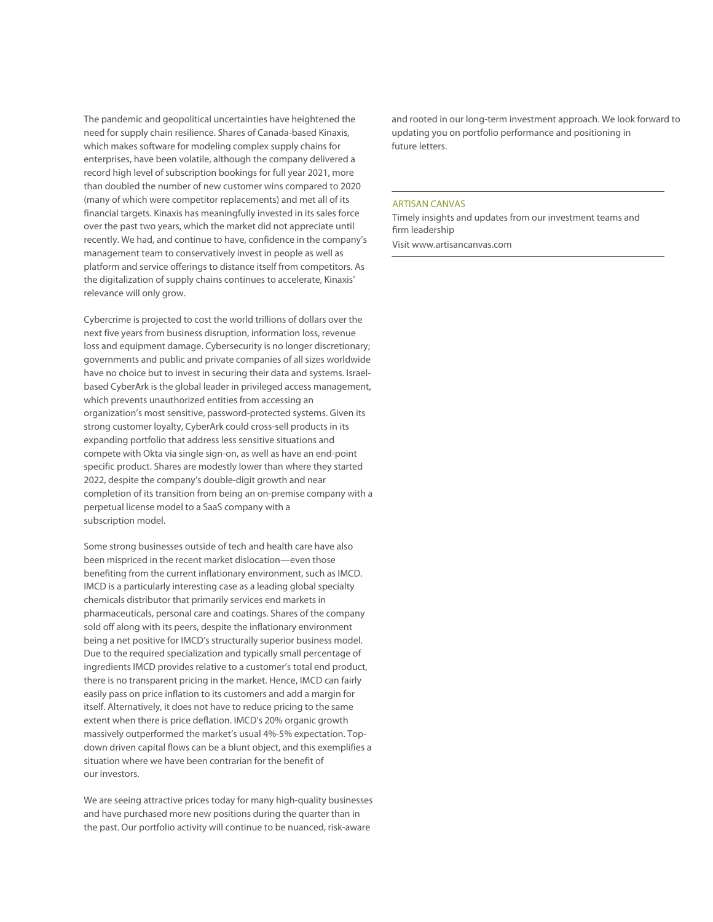The pandemic and geopolitical uncertainties have heightened the need for supply chain resilience. Shares of Canada-based Kinaxis, which makes software for modeling complex supply chains for enterprises, have been volatile, although the company delivered a record high level of subscription bookings for full year 2021, more than doubled the number of new customer wins compared to 2020 (many of which were competitor replacements) and met all of its financial targets. Kinaxis has meaningfully invested in its sales force over the past two years, which the market did not appreciate until recently. We had, and continue to have, confidence in the company's management team to conservatively invest in people as well as platform and service offerings to distance itself from competitors. As the digitalization of supply chains continues to accelerate, Kinaxis' relevance will only grow.

Cybercrime is projected to cost the world trillions of dollars over the next five years from business disruption, information loss, revenue loss and equipment damage. Cybersecurity is no longer discretionary; governments and public and private companies of all sizes worldwide have no choice but to invest in securing their data and systems. Israelbased CyberArk is the global leader in privileged access management, which prevents unauthorized entities from accessing an organization's most sensitive, password-protected systems. Given its strong customer loyalty, CyberArk could cross-sell products in its expanding portfolio that address less sensitive situations and compete with Okta via single sign-on, as well as have an end-point specific product. Shares are modestly lower than where they started 2022, despite the company's double-digit growth and near completion of its transition from being an on-premise company with a perpetual license model to a SaaS company with a subscription model.

Some strong businesses outside of tech and health care have also been mispriced in the recent market dislocation—even those benefiting from the current inflationary environment, such as IMCD. IMCD is a particularly interesting case as a leading global specialty chemicals distributor that primarily services end markets in pharmaceuticals, personal care and coatings. Shares of the company sold off along with its peers, despite the inflationary environment being a net positive for IMCD's structurally superior business model. Due to the required specialization and typically small percentage of ingredients IMCD provides relative to a customer's total end product, there is no transparent pricing in the market. Hence, IMCD can fairly easily pass on price inflation to its customers and add a margin for itself. Alternatively, it does not have to reduce pricing to the same extent when there is price deflation. IMCD's 20% organic growth massively outperformed the market's usual 4%-5% expectation. Topdown driven capital flows can be a blunt object, and this exemplifies a situation where we have been contrarian for the benefit of our investors.

We are seeing attractive prices today for many high-quality businesses and have purchased more new positions during the quarter than in the past. Our portfolio activity will continue to be nuanced, risk-aware

and rooted in our long-term investment approach. We look forward to updating you on portfolio performance and positioning in future letters.

#### ARTISAN CANVAS

Timely insights and updates from our investment teams and firm leadership

Visit www.artisancanvas.com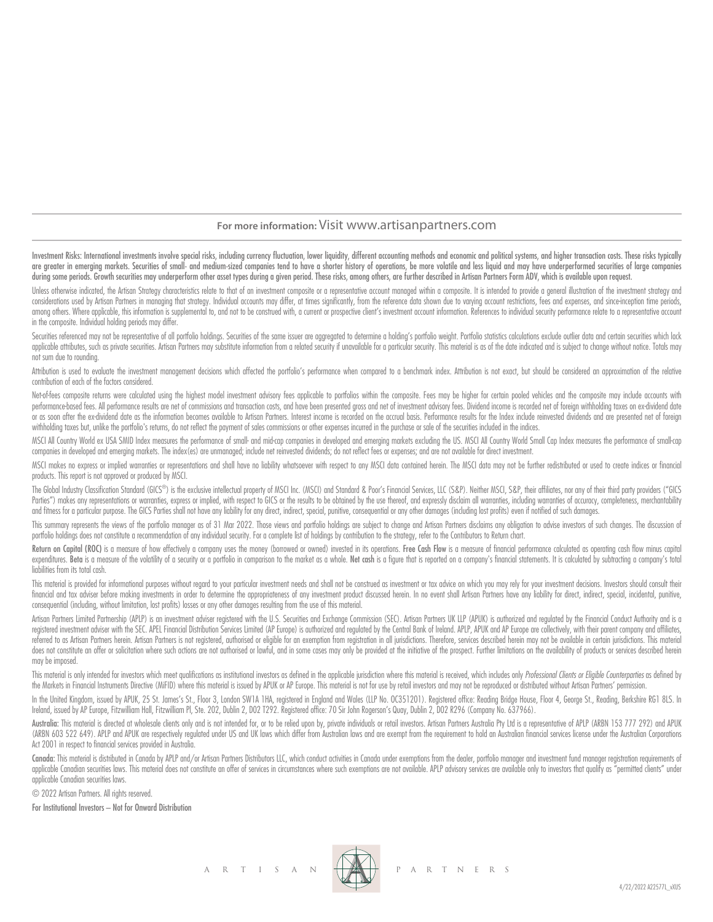### **For more information:** Visit www.artisanpartners.com

Investment Risks: International investments involve special risks, including currency fluctuation, lower liquidity, different accounting methods and economic and political systems, and higher transaction costs. These risks are greater in emerging markets. Securities of small- and medium-sized companies tend to have a shorter history of operations, be more volatile and less liquid and may have underperformed securities of large companies during some periods. Growth securities may underperform other asset types during a given period. These risks, among others, are further described in Artisan Partners Form ADV, which is available upon request.

Unless otherwise indicated, the Artisan Strategy characteristics relate to that of an investment composite or a representative account managed within a composite. It is intended to provide a general illustration of the inv considerations used by Artisan Partners in managing that strategy. Individual accounts may differ, at times significantly, from the reference data shown due to varying account restrictions, fees and expenses, and since inc among others. Where applicable, this information is supplemental to, and not to be construed with, a current or prospective client's investment account information. References to individual security performance relate to a in the composite. Individual holding periods may differ.

Securities referenced may not be representative of all portfolio holdings. Securities of the same issuer are aggregated to determine a holding's portfolio weight. Portfolio statistics calculations exclude outlier data and applicable attributes, such as private securities. Artisan Partners may substitute information from a related security if unavailable for a particular security. This material is as of the date indicated and is subject to c not sum due to rounding.

Attribution is used to evaluate the investment management decisions which affected the portfolio's performance when compared to a benchmark index. Attribution is not exact, but should be considered an approximation of the contribution of each of the factors considered.

Net-of-fees composite returns were calculated using the highest model investment advisory fees applicable to portfolios within the composite. Fees may be higher for certain pooled vehicles and the composite may include acc performance based fees. All performance results are net of commissions and transaction costs, and have been presented aross and net of investment advisory fees. Dividend income is recorded net of foreian withholding taxes or as soon after the ex-dividend date as the information becomes available to Artisan Partners. Interest income is recorded on the accrual basis. Performance results for the Index include reinvested dividends and are prese withholding taxes but, unlike the portfolio's returns, do not reflect the payment of sales commissions or other expenses incurred in the purchase or sale of the securities included in the indices.

MSCI All Country World ex USA SMID Index measures the performance of small- and mid-cap companies in developed and emerging markets excluding the US. MSCI All Country World Small Cap Index measures the performance of small companies in developed and emerging markets. The index(es) are unmanaged; include net reinvested dividends; do not reflect fees or expenses; and are not available for direct investment.

MSCI makes no express or implied warranties or representations and shall have no liability whatsoever with respect to any MSCI data contained herein. The MSCI data may not be further redistributed or used to create indices products. This report is not approved or produced by MSCI.

The Global Industry Classification Standard (GICS®) is the exclusive intellectual property of MSCI Inc. (MSCI) and Standard & Poor's Financial Services, LLC (S&P). Neither MSCI, S&P, their affiliates, nor any of their thir Parties") makes any representations or warranties, express or implied, with respect to GICS or the results to be obtained by the use thereof, and expressly disclaim all warranties, including warranties of accuracy, complet and fitness for a particular purpose. The GICS Parties shall not have any liability for any direct, indirect, special, punitive, consequential or any other damages (including lost profits) even if notified of such damages.

This summary represents the views of the portfolio manager as of 31 Mar 2022. Those views and portfolio holdings are subject to change and Artisan Partners disclaims any obligation to advise investors of such changes. The portfolio holdings does not constitute a recommendation of any individual security. For a complete list of holdings by contribution to the strategy, refer to the Contributors to Return chart.

Return on Capital (ROC) is a measure of how effectively a company uses the money (borrowed or owned) invested in its operations. Free Cash Flow is a measure of financial performance calculated as operating cash flow minus expenditures. Beta is a measure of the volatility of a security or a portfolio in comparison to the market as a whole. Net cash is a figure that is reported on a company's financial statements. It is calculated by subtract liabilities from its total cash.

This material is provided for informational purposes without regard to your particular investment needs and shall not be construed as investment or tax advice on which you may rely for your investment decisions. Investors financial and tax adviser before making investments in order to determine the appropriateness of any investment product discussed herein. In no event shall Artisan Partners have any liability for direct, indirect, special, consequential (including, without limitation, lost profits) losses or any other damages resulting from the use of this material.

Artisan Partners Limited Partnership (APLP) is an investment adviser registered with the U.S. Securities and Exchange Commission (SEC). Artisan Partners UK LLP (APUK) is authorized and regulated by the Financial Conduct Au registered investment adviser with the SEC. APEL Financial Distribution Services Limited (AP Europe) is authorized and regulated by the Central Bank of Ireland. APLP, APUK and AP Europe are collectively, with their parent referred to as Artisan Partners herein. Artisan Partners is not registered, authorised or eligible for an exemption from registration in all jurisdictions. Therefore, services described herein may not be available in certa does not constitute an offer or solicitation where such actions are not authorised or lawful, and in some cases may only be provided at the initiative of the prospect. Further limitations on the availability of products or may be imposed.

This material is only intended for investors which meet qualifications as institutional investors as defined in the applicable jurisdiction where this material is received, which includes only Professional Clients or Eligi the Markets in Financial Instruments Directive (MiFID) where this material is issued by APUK or AP Europe. This material is not for use by retail investors and may not be reproduced or distributed without Artisan Partners'

In the United Kingdom, issued by APUK, 25 St. James's St., Floor 3, London SW1A 1HA, registered in England and Wales (LLP No. OC351201). Registered office: Reading Bridge House, Floor 4, George St., Reading, Berkshire RG1 Ireland, issued by AP Europe, Fitzwilliam Hall, Fitzwilliam Pl, Ste. 202, Dublin 2, D02 T292. Registered office: 70 Sir John Rogerson's Quay, Dublin 2, D02 R296 (Company No. 637966).

Australia: This material is directed at wholesale clients only and is not intended for, or to be relied upon by, private individuals or retail investors. Artisan Partnes Australia Pty Ltd is a representative of APLP (ARBN (ARBN 603 522 649). APLP and APUK are respectively regulated under US and UK laws which differ from Australian laws and are exempt from the requirement to hold an Australian financial services license under the Australian Act 2001 in respect to financial services provided in Australia.

Canada: This material is distributed in Canada by APLP and/or Artisan Partners Distributors LLC, which conduct activities in Canada under exemptions from the dealer, portfolio manager and investment fund manager registrati applicable Canadian securities laws. This material does not constitute an offer of services in circumstances where such exemptions are not available. APLP advisory services are available only to investors that quality as " applicable Canadian securities laws.

© 2022 Artisan Partners. All rights reserved.

For Institutional Investors – Not for Onward Distribution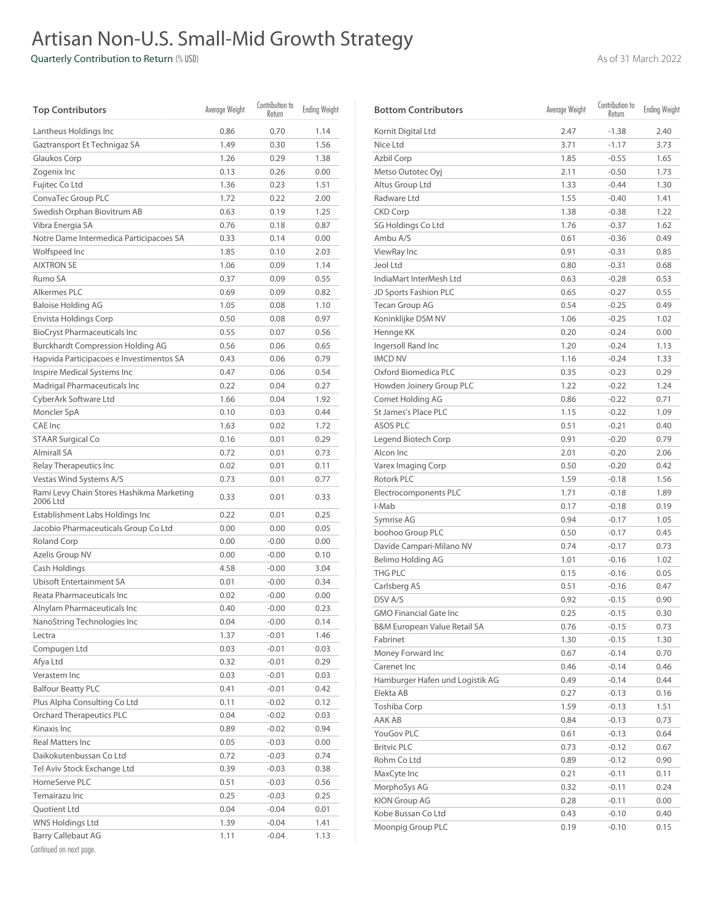# Artisan Non-U.S. Small-Mid Growth Strategy

Quarterly Contribution to Return (% USD) As of 31 March 2022

| <b>Top Contributors</b>                               | Average Weight | Contribution to<br>Return | <b>Ending Weight</b> |
|-------------------------------------------------------|----------------|---------------------------|----------------------|
| Lantheus Holdings Inc                                 | 0.86           | 0.70                      | 1.14                 |
| Gaztransport Et Technigaz SA                          | 1.49           | 0.30                      | 1.56                 |
| Glaukos Corp                                          | 1.26           | 0.29                      | 1.38                 |
| Zogenix Inc                                           | 0.13           | 0.26                      | 0.00                 |
| Fujitec Co Ltd                                        | 1.36           | 0.23                      | 1.51                 |
| ConvaTec Group PLC                                    | 1.72           | 0.22                      | 2.00                 |
| Swedish Orphan Biovitrum AB                           | 0.63           | 0.19                      | 1.25                 |
| Vibra Energia SA                                      | 0.76           | 0.18                      | 0.87                 |
| Notre Dame Intermedica Participacoes SA               | 0.33           | 0.14                      | 0.00                 |
| Wolfspeed Inc                                         | 1.85           | 0.10                      | 2.03                 |
| <b>AIXTRON SE</b>                                     | 1.06           | 0.09                      | 1.14                 |
| Rumo SA                                               | 0.37           | 0.09                      | 0.55                 |
| Alkermes PLC                                          | 0.69           | 0.09                      | 0.82                 |
| <b>Baloise Holding AG</b>                             | 1.05           | 0.08                      | 1.10                 |
| Envista Holdings Corp                                 | 0.50           | 0.08                      | 0.97                 |
| <b>BioCryst Pharmaceuticals Inc</b>                   | 0.55           | 0.07                      | 0.56                 |
| <b>Burckhardt Compression Holding AG</b>              | 0.56           | 0.06                      | 0.65                 |
| Hapvida Participacoes e Investimentos SA              | 0.43           | 0.06                      | 0.79                 |
| Inspire Medical Systems Inc                           | 0.47           | 0.06                      | 0.54                 |
| Madrigal Pharmaceuticals Inc                          | 0.22           | 0.04                      | 0.27                 |
| CyberArk Software Ltd                                 | 1.66           | 0.04                      | 1.92                 |
| Moncler SpA                                           | 0.10           | 0.03                      | 0.44                 |
| CAE Inc                                               | 1.63           | 0.02                      | 1.72                 |
| <b>STAAR Surgical Co</b>                              | 0.16           | 0.01                      | 0.29                 |
| <b>Almirall SA</b>                                    | 0.72           | 0.01                      | 0.73                 |
| Relay Therapeutics Inc                                | 0.02           | 0.01                      | 0.11                 |
| Vestas Wind Systems A/S                               | 0.73           | 0.01                      | 0.77                 |
| Rami Levy Chain Stores Hashikma Marketing<br>2006 Ltd | 0.33           | 0.01                      | 0.33                 |
| Establishment Labs Holdings Inc                       | 0.22           | 0.01                      | 0.25                 |
| Jacobio Pharmaceuticals Group Co Ltd                  | 0.00           | 0.00                      | 0.05                 |
| <b>Roland Corp</b>                                    | 0.00           | $-0.00$                   | 0.00                 |
| Azelis Group NV                                       | 0.00           | $-0.00$                   | 0.10                 |
| Cash Holdings                                         | 4.58           | $-0.00$                   | 3.04                 |
| <b>Ubisoft Entertainment SA</b>                       | 0.01           | $-0.00$                   | 0.34                 |
| Reata Pharmaceuticals Inc                             | 0.02           | $-0.00$                   | 0.00                 |
| Alnylam Pharmaceuticals Inc                           | 0.40           | $-0.00$                   | 0.23                 |
| NanoString Technologies Inc                           | 0.04           | $-0.00$                   | 0.14                 |
| Lectra                                                | 1.37           | $-0.01$                   | 1.46                 |
| Compugen Ltd                                          | 0.03           | $-0.01$                   | 0.03                 |
| Afya Ltd                                              | 0.32           | $-0.01$                   | 0.29                 |
| Verastem Inc                                          | 0.03           | $-0.01$                   | 0.03                 |
| <b>Balfour Beatty PLC</b>                             | 0.41           | $-0.01$                   | 0.42                 |
| Plus Alpha Consulting Co Ltd                          | 0.11           | $-0.02$                   | 0.12                 |
| <b>Orchard Therapeutics PLC</b>                       | 0.04           | $-0.02$                   | 0.03                 |
| Kinaxis Inc                                           | 0.89           | $-0.02$                   | 0.94                 |
| <b>Real Matters Inc</b>                               | 0.05           | $-0.03$                   | 0.00                 |
| Daikokutenbussan Co Ltd                               | 0.72           | $-0.03$                   | 0.74                 |
| Tel Aviv Stock Exchange Ltd                           | 0.39           | $-0.03$                   | 0.38                 |
| HomeServe PLC                                         | 0.51           | $-0.03$                   | 0.56                 |
| Temairazu Inc                                         | 0.25           | $-0.03$                   | 0.25                 |
| Quotient Ltd                                          | 0.04           | $-0.04$                   | 0.01                 |
| WNS Holdings Ltd                                      | 1.39           | $-0.04$                   | 1.41                 |
| <b>Barry Callebaut AG</b>                             | 1.11           | $-0.04$                   | 1.13                 |
|                                                       |                |                           |                      |

| <b>Bottom Contributors</b>              | Average Weight | Contribution to<br>Return | <b>Ending Weight</b> |
|-----------------------------------------|----------------|---------------------------|----------------------|
| Kornit Digital Ltd                      | 2.47           | $-1.38$                   | 2.40                 |
| Nice Ltd                                | 3.71           | $-1.17$                   | 3.73                 |
| Azbil Corp                              | 1.85           | $-0.55$                   | 1.65                 |
| Metso Outotec Oyj                       | 2.11           | $-0.50$                   | 1.73                 |
| Altus Group Ltd                         | 1.33           | $-0.44$                   | 1.30                 |
| Radware Ltd                             | 1.55           | $-0.40$                   | 1.41                 |
| <b>CKD Corp</b>                         | 1.38           | $-0.38$                   | 1.22                 |
| SG Holdings Co Ltd                      | 1.76           | $-0.37$                   | 1.62                 |
| Ambu A/S                                | 0.61           | $-0.36$                   | 0.49                 |
| ViewRay Inc                             | 0.91           | $-0.31$                   | 0.85                 |
| Jeol Ltd                                | 0.80           | $-0.31$                   | 0.68                 |
| IndiaMart InterMesh Ltd                 | 0.63           | $-0.28$                   | 0.53                 |
| JD Sports Fashion PLC                   | 0.65           | $-0.27$                   | 0.55                 |
| <b>Tecan Group AG</b>                   | 0.54           | $-0.25$                   | 0.49                 |
| Koninklijke DSM NV                      | 1.06           | $-0.25$                   | 1.02                 |
| Hennge KK                               | 0.20           | $-0.24$                   | 0.00                 |
| Ingersoll Rand Inc                      | 1.20           | $-0.24$                   | 1.13                 |
| <b>IMCD NV</b>                          | 1.16           | $-0.24$                   | 1.33                 |
| Oxford Biomedica PLC                    | 0.35           | $-0.23$                   | 0.29                 |
| Howden Joinery Group PLC                | 1.22           | $-0.22$                   | 1.24                 |
| Comet Holding AG                        | 0.86           | $-0.22$                   | 0.71                 |
| St James's Place PLC                    | 1.15           | $-0.22$                   | 1.09                 |
| ASOS PLC                                | 0.51           | $-0.21$                   | 0.40                 |
| Legend Biotech Corp                     | 0.91           | $-0.20$                   | 0.79                 |
| Alcon Inc                               | 2.01           | $-0.20$                   | 2.06                 |
| Varex Imaging Corp                      | 0.50           | $-0.20$                   | 0.42                 |
| Rotork PLC                              | 1.59           | $-0.18$                   | 1.56                 |
| Electrocomponents PLC                   | 1.71           | $-0.18$                   | 1.89                 |
| I-Mab                                   | 0.17           | $-0.18$                   | 0.19                 |
| Symrise AG                              | 0.94           | $-0.17$                   | 1.05                 |
| boohoo Group PLC                        | 0.50           | $-0.17$                   | 0.45                 |
| Davide Campari-Milano NV                | 0.74           | $-0.17$                   | 0.73                 |
| Belimo Holding AG                       | 1.01           | $-0.16$                   | 1.02                 |
| THG PLC                                 | 0.15           | $-0.16$                   | 0.05                 |
| Carlsberg AS                            | 0.51           | $-0.16$                   | 0.47                 |
| DSV A/S                                 | 0.92           | $-0.15$                   | 0.90                 |
| <b>GMO Financial Gate Inc.</b>          | 0.25           | $-0.15$                   | 0.30                 |
| <b>B&amp;M European Value Retail SA</b> | 0.76           | $-0.15$                   | 0.73                 |
| Fabrinet                                | 1.30           | $-0.15$                   | 1.30                 |
| Money Forward Inc                       | 0.67           | $-0.14$                   | 0.70                 |
| Carenet Inc                             | 0.46           | $-0.14$                   | 0.46                 |
| Hamburger Hafen und Logistik AG         | 0.49           | $-0.14$                   | 0.44                 |
| Elekta AB                               | 0.27           | $-0.13$                   | 0.16                 |
| Toshiba Corp                            | 1.59           | $-0.13$                   | 1.51                 |
| AAK AB                                  | 0.84           | $-0.13$                   | 0.73                 |
| YouGov PLC                              | 0.61           | $-0.13$                   | 0.64                 |
| <b>Britvic PLC</b>                      | 0.73           | $-0.12$                   | 0.67                 |
| Rohm Co Ltd                             | 0.89           | $-0.12$                   | 0.90                 |
| MaxCyte Inc                             | 0.21           | $-0.11$                   | 0.11                 |
| MorphoSys AG                            | 0.32           | $-0.11$                   | 0.24                 |
| KION Group AG                           | 0.28           | $-0.11$                   | 0.00                 |
| Kobe Bussan Co Ltd                      | 0.43           | $-0.10$                   | 0.40                 |
| Moonpig Group PLC                       | 0.19           | $-0.10$                   | 0.15                 |
|                                         |                |                           |                      |

Continued on next page.